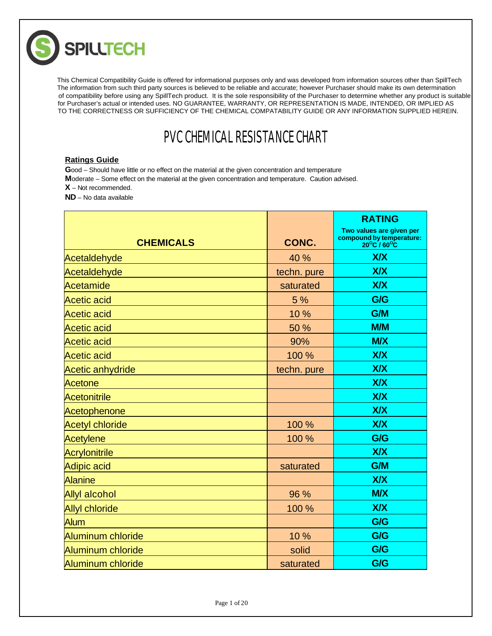

The information from such third party sources is believed to be reliable and accurate; however Purchaser should make its own determination of compatibility before using any SpillTech product. It is the sole responsibility of the Purchaser to determine whether any product is suitable for Purchaser's actual or intended uses. NO GUARANTEE, WARRANTY, OR REPRESENTATION IS MADE, INTENDED, OR IMPLIED AS TO THE CORRECTNESS OR SUFFICIENCY OF THE CHEMICAL COMPATABILITY GUIDE OR ANY INFORMATION SUPPLIED HEREIN. This Chemical Compatibility Guide is offered for informational purposes only and was developed from information sources other than SpillTech

## PVC CHEMICAL RESISTANCE CHART

## **Ratings Guide**

**G**ood – Should have little or no effect on the material at the given concentration and temperature

**M**oderate – Some effect on the material at the given concentration and temperature. Caution advised.

**X** – Not recommended.

**ND** – No data available

|                         |             | <b>RATING</b>                                                       |
|-------------------------|-------------|---------------------------------------------------------------------|
| <b>CHEMICALS</b>        | CONC.       | Two values are given per<br>compound by temperature:<br>20°C / 60°C |
| Acetaldehyde            | 40 %        | X/X                                                                 |
| Acetaldehyde            | techn. pure | <b>X/X</b>                                                          |
| <b>Acetamide</b>        | saturated   | X/X                                                                 |
| <b>Acetic acid</b>      | 5 %         | G/G                                                                 |
| <b>Acetic acid</b>      | 10%         | G/M                                                                 |
| <b>Acetic acid</b>      | 50 %        | <b>M/M</b>                                                          |
| <b>Acetic acid</b>      | 90%         | <b>M/X</b>                                                          |
| <b>Acetic acid</b>      | 100 %       | <b>X/X</b>                                                          |
| <b>Acetic anhydride</b> | techn. pure | X/X                                                                 |
| Acetone                 |             | <b>X/X</b>                                                          |
| <b>Acetonitrile</b>     |             | X/X                                                                 |
| Acetophenone            |             | <b>X/X</b>                                                          |
| <b>Acetyl chloride</b>  | 100 %       | X/X                                                                 |
| <b>Acetylene</b>        | 100 %       | G/G                                                                 |
| <b>Acrylonitrile</b>    |             | <b>X/X</b>                                                          |
| Adipic acid             | saturated   | <b>G/M</b>                                                          |
| <b>Alanine</b>          |             | X/X                                                                 |
| <b>Allyl alcohol</b>    | 96 %        | <b>M/X</b>                                                          |
| <b>Allyl chloride</b>   | 100 %       | X/X                                                                 |
| Alum                    |             | G/G                                                                 |
| Aluminum chloride       | 10%         | G/G                                                                 |
| Aluminum chloride       | solid       | G/G                                                                 |
| Aluminum chloride       | saturated   | G/G                                                                 |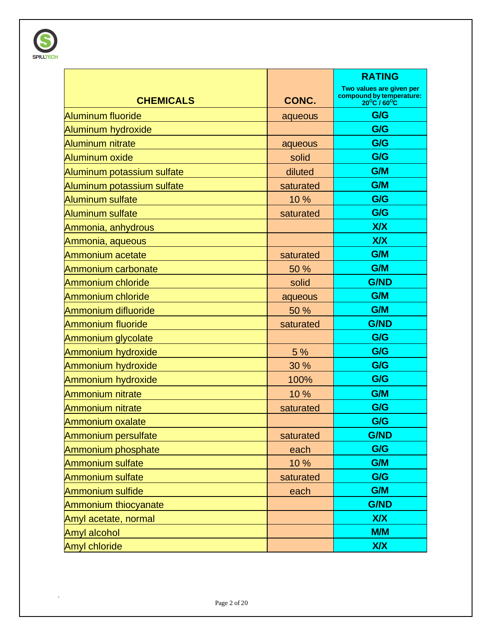

|                            |           | <b>RATING</b>                                                       |
|----------------------------|-----------|---------------------------------------------------------------------|
| <b>CHEMICALS</b>           | CONC.     | Two values are given per<br>compound by temperature:<br>20°C / 60°C |
| <b>Aluminum fluoride</b>   | aqueous   | G/G                                                                 |
| Aluminum hydroxide         |           | G/G                                                                 |
| <b>Aluminum nitrate</b>    | aqueous   | G/G                                                                 |
| Aluminum oxide             | solid     | G/G                                                                 |
| Aluminum potassium sulfate | diluted   | <b>G/M</b>                                                          |
| Aluminum potassium sulfate | saturated | G/M                                                                 |
| <b>Aluminum sulfate</b>    | 10 %      | G/G                                                                 |
| <b>Aluminum sulfate</b>    | saturated | G/G                                                                 |
| Ammonia, anhydrous         |           | <b>X/X</b>                                                          |
| Ammonia, aqueous           |           | <b>X/X</b>                                                          |
| Ammonium acetate           | saturated | <b>G/M</b>                                                          |
| Ammonium carbonate         | 50 %      | G/M                                                                 |
| Ammonium chloride          | solid     | <b>G/ND</b>                                                         |
| Ammonium chloride          | aqueous   | G/M                                                                 |
| Ammonium difluoride        | 50 %      | G/M                                                                 |
| <b>Ammonium fluoride</b>   | saturated | <b>G/ND</b>                                                         |
| Ammonium glycolate         |           | G/G                                                                 |
| Ammonium hydroxide         | 5 %       | G/G                                                                 |
| Ammonium hydroxide         | 30 %      | G/G                                                                 |
| Ammonium hydroxide         | 100%      | G/G                                                                 |
| <b>Ammonium nitrate</b>    | 10%       | G/M                                                                 |
| <b>Ammonium nitrate</b>    | saturated | G/G                                                                 |
| Ammonium oxalate           |           | G/G                                                                 |
| Ammonium persulfate        | saturated | <b>G/ND</b>                                                         |
| Ammonium phosphate         | each      | G/G                                                                 |
| Ammonium sulfate           | 10 %      | G/M                                                                 |
| <b>Ammonium sulfate</b>    | saturated | G/G                                                                 |
| Ammonium sulfide           | each      | G/M                                                                 |
| Ammonium thiocyanate       |           | <b>G/ND</b>                                                         |
| Amyl acetate, normal       |           | <b>X/X</b>                                                          |
| Amyl alcohol               |           | M/M                                                                 |
| <b>Amyl chloride</b>       |           | <b>X/X</b>                                                          |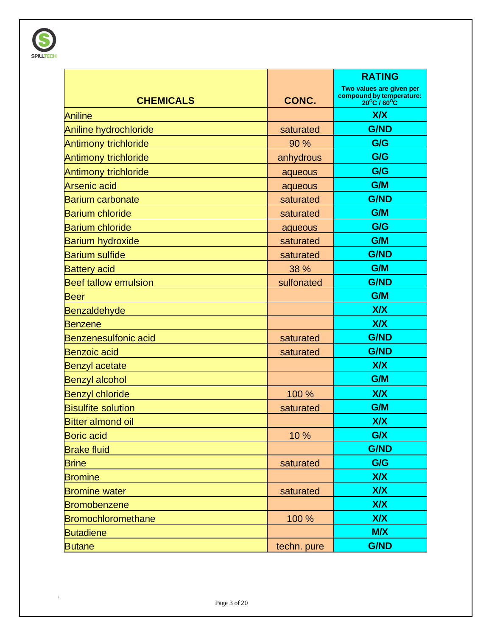

|                             |             | <b>RATING</b>                                                                                 |
|-----------------------------|-------------|-----------------------------------------------------------------------------------------------|
| <b>CHEMICALS</b>            | CONC.       | Two values are given per<br>compound by temperature:<br>20 <sup>o</sup> C / 60 <sup>o</sup> C |
| <b>Aniline</b>              |             | <b>X/X</b>                                                                                    |
| Aniline hydrochloride       | saturated   | <b>G/ND</b>                                                                                   |
| <b>Antimony trichloride</b> | 90 %        | G/G                                                                                           |
| Antimony trichloride        | anhydrous   | G/G                                                                                           |
| Antimony trichloride        | aqueous     | G/G                                                                                           |
| <b>Arsenic acid</b>         | aqueous     | G/M                                                                                           |
| <b>Barium carbonate</b>     | saturated   | <b>G/ND</b>                                                                                   |
| <b>Barium chloride</b>      | saturated   | G/M                                                                                           |
| <b>Barium chloride</b>      | aqueous     | G/G                                                                                           |
| <b>Barium hydroxide</b>     | saturated   | G/M                                                                                           |
| <b>Barium sulfide</b>       | saturated   | <b>G/ND</b>                                                                                   |
| <b>Battery acid</b>         | 38 %        | G/M                                                                                           |
| <b>Beef tallow emulsion</b> | sulfonated  | <b>G/ND</b>                                                                                   |
| <b>Beer</b>                 |             | G/M                                                                                           |
| <b>Benzaldehyde</b>         |             | <b>X/X</b>                                                                                    |
| <b>Benzene</b>              |             | <b>X/X</b>                                                                                    |
| <b>Benzenesulfonic acid</b> | saturated   | <b>G/ND</b>                                                                                   |
| <b>Benzoic acid</b>         | saturated   | <b>G/ND</b>                                                                                   |
| <b>Benzyl acetate</b>       |             | <b>X/X</b>                                                                                    |
| <b>Benzyl alcohol</b>       |             | G/M                                                                                           |
| <b>Benzyl chloride</b>      | 100 %       | X/X                                                                                           |
| <b>Bisulfite solution</b>   | saturated   | G/M                                                                                           |
| <b>Bitter almond oil</b>    |             | <b>X/X</b>                                                                                    |
| <b>Boric acid</b>           | 10 %        | G/X                                                                                           |
| <b>Brake fluid</b>          |             | <b>G/ND</b>                                                                                   |
| <b>Brine</b>                | saturated   | G/G                                                                                           |
| <b>Bromine</b>              |             | <b>X/X</b>                                                                                    |
| <b>Bromine water</b>        | saturated   | XIX                                                                                           |
| Bromobenzene                |             | <b>X/X</b>                                                                                    |
| <b>Bromochloromethane</b>   | 100 %       | <b>X/X</b>                                                                                    |
| <b>Butadiene</b>            |             | <b>M/X</b>                                                                                    |
| <b>Butane</b>               | techn. pure | <b>G/ND</b>                                                                                   |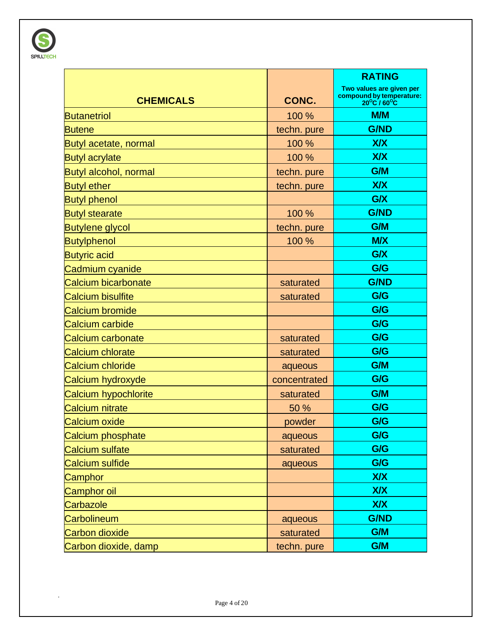

|                              |              | <b>RATING</b>                                                                                 |
|------------------------------|--------------|-----------------------------------------------------------------------------------------------|
| <b>CHEMICALS</b>             | CONC.        | Two values are given per<br>compound by temperature:<br>20 <sup>o</sup> C / 60 <sup>o</sup> C |
| <b>Butanetriol</b>           | 100 %        | M/M                                                                                           |
| <b>Butene</b>                | techn. pure  | <b>G/ND</b>                                                                                   |
| Butyl acetate, normal        | 100 %        | X/X                                                                                           |
| <b>Butyl acrylate</b>        | 100 %        | <b>X/X</b>                                                                                    |
| <b>Butyl alcohol, normal</b> | techn. pure  | G/M                                                                                           |
| <b>Butyl</b> ether           | techn. pure  | <b>X/X</b>                                                                                    |
| <b>Butyl phenol</b>          |              | G/X                                                                                           |
| <b>Butyl stearate</b>        | 100 %        | <b>G/ND</b>                                                                                   |
| <b>Butylene glycol</b>       | techn. pure  | G/M                                                                                           |
| <b>Butylphenol</b>           | 100 %        | <b>M/X</b>                                                                                    |
| <b>Butyric acid</b>          |              | G/X                                                                                           |
| Cadmium cyanide              |              | G/G                                                                                           |
| Calcium bicarbonate          | saturated    | <b>G/ND</b>                                                                                   |
| <b>Calcium bisulfite</b>     | saturated    | G/G                                                                                           |
| <b>Calcium bromide</b>       |              | G/G                                                                                           |
| Calcium carbide              |              | G/G                                                                                           |
| Calcium carbonate            | saturated    | G/G                                                                                           |
| Calcium chlorate             | saturated    | G/G                                                                                           |
| Calcium chloride             | aqueous      | G/M                                                                                           |
| Calcium hydroxyde            | concentrated | G/G                                                                                           |
| Calcium hypochlorite         | saturated    | G/M                                                                                           |
| Calcium nitrate              | 50 %         | G/G                                                                                           |
| Calcium oxide                | powder       | G/G                                                                                           |
| Calcium phosphate            | aqueous      | G/G                                                                                           |
| Calcium sulfate              | saturated    | G/G                                                                                           |
| Calcium sulfide              | aqueous      | G/G                                                                                           |
| Camphor                      |              | <b>X/X</b>                                                                                    |
| Camphor oil                  |              | <b>X/X</b>                                                                                    |
| Carbazole                    |              | <b>X/X</b>                                                                                    |
| Carbolineum                  | aqueous      | <b>G/ND</b>                                                                                   |
| <b>Carbon dioxide</b>        | saturated    | G/M                                                                                           |
| Carbon dioxide, damp         | techn. pure  | G/M                                                                                           |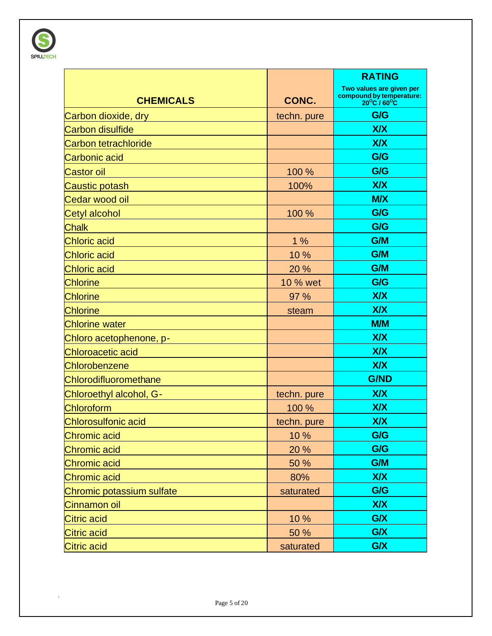

|                              |             | <b>RATING</b>                                                       |
|------------------------------|-------------|---------------------------------------------------------------------|
| <b>CHEMICALS</b>             | CONC.       | Two values are given per<br>compound by temperature:<br>20°C / 60°C |
| Carbon dioxide, dry          | techn. pure | G/G                                                                 |
| Carbon disulfide             |             | <b>X/X</b>                                                          |
| Carbon tetrachloride         |             | <b>X/X</b>                                                          |
| Carbonic acid                |             | G/G                                                                 |
| <b>Castor oil</b>            | 100 %       | G/G                                                                 |
| Caustic potash               | 100%        | <b>X/X</b>                                                          |
| Cedar wood oil               |             | <b>M/X</b>                                                          |
| Cetyl alcohol                | 100 %       | G/G                                                                 |
| <b>Chalk</b>                 |             | G/G                                                                 |
| <b>Chloric acid</b>          | 1%          | G/M                                                                 |
| <b>Chloric acid</b>          | 10%         | <b>G/M</b>                                                          |
| <b>Chloric acid</b>          | 20 %        | G/M                                                                 |
| <b>Chlorine</b>              | 10 % wet    | G/G                                                                 |
| <b>Chlorine</b>              | 97 %        | <b>X/X</b>                                                          |
| <b>Chlorine</b>              | steam       | <b>X/X</b>                                                          |
| <b>Chlorine water</b>        |             | M/M                                                                 |
| Chloro acetophenone, p-      |             | <b>X/X</b>                                                          |
| <b>Chloroacetic acid</b>     |             | <b>X/X</b>                                                          |
| Chlorobenzene                |             | <b>X/X</b>                                                          |
| <b>Chlorodifluoromethane</b> |             | <b>G/ND</b>                                                         |
| Chloroethyl alcohol, G-      | techn. pure | <b>X/X</b>                                                          |
| Chloroform                   | 100 %       | <b>X/X</b>                                                          |
| <b>Chlorosulfonic acid</b>   | techn. pure | <b>X/X</b>                                                          |
| <b>Chromic acid</b>          | 10 %        | G/G                                                                 |
| <b>Chromic acid</b>          | 20 %        | G/G                                                                 |
| Chromic acid                 | 50 %        | G/M                                                                 |
| <b>Chromic acid</b>          | 80%         | <b>X/X</b>                                                          |
| Chromic potassium sulfate    | saturated   | G/G                                                                 |
| Cinnamon oil                 |             | <b>X/X</b>                                                          |
| Citric acid                  | 10 %        | G/X                                                                 |
| <b>Citric acid</b>           | 50 %        | G/X                                                                 |
| Citric acid                  | saturated   | G/X                                                                 |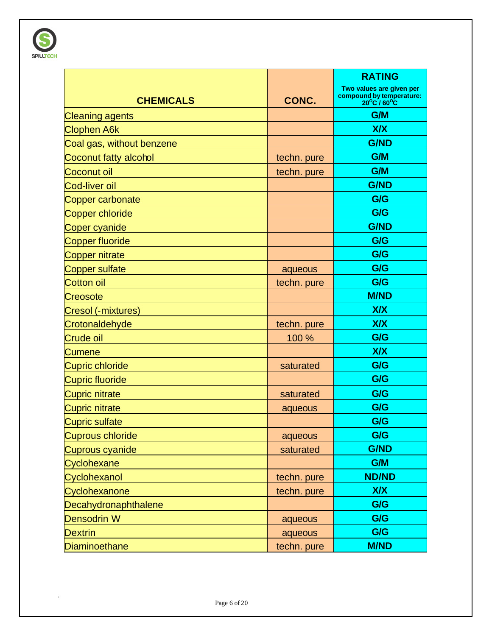

|                             |             | <b>RATING</b>                                                       |
|-----------------------------|-------------|---------------------------------------------------------------------|
| <b>CHEMICALS</b>            | CONC.       | Two values are given per<br>compound by temperature:<br>20°C / 60°C |
| <b>Cleaning agents</b>      |             | <b>G/M</b>                                                          |
| <b>Clophen A6k</b>          |             | <b>X/X</b>                                                          |
| Coal gas, without benzene   |             | <b>G/ND</b>                                                         |
| Coconut fatty alcohol       | techn. pure | <b>G/M</b>                                                          |
| Coconut oil                 | techn. pure | <b>G/M</b>                                                          |
| Cod-liver oil               |             | <b>G/ND</b>                                                         |
| Copper carbonate            |             | G/G                                                                 |
| <b>Copper chloride</b>      |             | G/G                                                                 |
| Coper cyanide               |             | <b>G/ND</b>                                                         |
| <b>Copper fluoride</b>      |             | G/G                                                                 |
| <b>Copper nitrate</b>       |             | G/G                                                                 |
| <b>Copper sulfate</b>       | aqueous     | G/G                                                                 |
| <b>Cotton oil</b>           | techn. pure | G/G                                                                 |
| Creosote                    |             | <b>M/ND</b>                                                         |
| Cresol (-mixtures)          |             | <b>X/X</b>                                                          |
| Crotonaldehyde              | techn. pure | <b>X/X</b>                                                          |
| Crude oil                   | 100 %       | G/G                                                                 |
| Cumene                      |             | <b>X/X</b>                                                          |
| <b>Cupric chloride</b>      | saturated   | G/G                                                                 |
| <b>Cupric fluoride</b>      |             | G/G                                                                 |
| <b>Cupric nitrate</b>       | saturated   | G/G                                                                 |
| <b>Cupric nitrate</b>       | aqueous     | G/G                                                                 |
| <b>Cupric sulfate</b>       |             | G/G                                                                 |
| <b>Cuprous chloride</b>     | aqueous     | G/G                                                                 |
| Cuprous cyanide             | saturated   | <b>G/ND</b>                                                         |
| Cyclohexane                 |             | G/M                                                                 |
| Cyclohexanol                | techn. pure | <b>ND/ND</b>                                                        |
| Cyclohexanone               | techn. pure | <b>X/X</b>                                                          |
| <b>Decahydronaphthalene</b> |             | G/G                                                                 |
| Densodrin W                 | aqueous     | G/G                                                                 |
| <b>Dextrin</b>              | aqueous     | G/G                                                                 |
| <b>Diaminoethane</b>        | techn. pure | <b>M/ND</b>                                                         |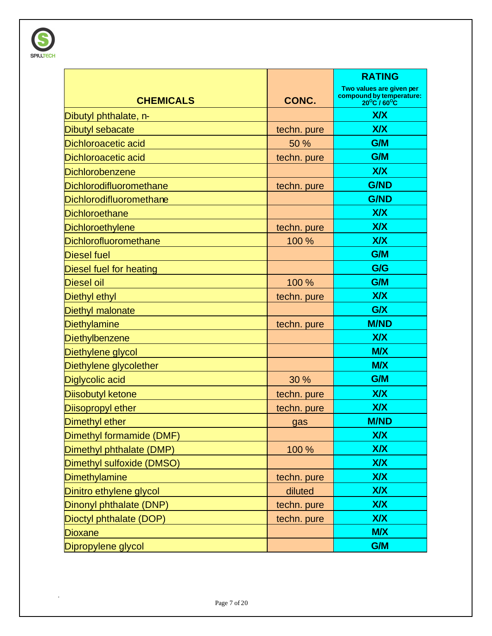

|                                |             | <b>RATING</b>                                                       |
|--------------------------------|-------------|---------------------------------------------------------------------|
| <b>CHEMICALS</b>               | CONC.       | Two values are given per<br>compound by temperature:<br>20°C / 60°C |
| Dibutyl phthalate, n-          |             | X/X                                                                 |
| <b>Dibutyl sebacate</b>        | techn. pure | <b>X/X</b>                                                          |
| <b>Dichloroacetic acid</b>     | 50 %        | <b>G/M</b>                                                          |
| <b>Dichloroacetic acid</b>     | techn. pure | G/M                                                                 |
| <b>Dichlorobenzene</b>         |             | <b>X/X</b>                                                          |
| Dichlorodifluoromethane        | techn. pure | <b>G/ND</b>                                                         |
| Dichlorodifluoromethane        |             | <b>G/ND</b>                                                         |
| <b>Dichloroethane</b>          |             | <b>X/X</b>                                                          |
| Dichloroethylene               | techn. pure | <b>X/X</b>                                                          |
| Dichlorofluoromethane          | 100 %       | <b>X/X</b>                                                          |
| <b>Diesel fuel</b>             |             | G/M                                                                 |
| <b>Diesel fuel for heating</b> |             | G/G                                                                 |
| <b>Diesel oil</b>              | 100 %       | G/M                                                                 |
| <b>Diethyl ethyl</b>           | techn. pure | <b>X/X</b>                                                          |
| <b>Diethyl malonate</b>        |             | G/X                                                                 |
| <b>Diethylamine</b>            | techn. pure | <b>M/ND</b>                                                         |
| <b>Diethylbenzene</b>          |             | <b>X/X</b>                                                          |
| Diethylene glycol              |             | <b>M/X</b>                                                          |
| Diethylene glycolether         |             | <b>M/X</b>                                                          |
| Diglycolic acid                | 30 %        | <b>G/M</b>                                                          |
| <b>Diisobutyl ketone</b>       | techn. pure | <b>X/X</b>                                                          |
| <b>Diisopropyl ether</b>       | techn. pure | <b>X/X</b>                                                          |
| Dimethyl ether                 | gas         | <b>M/ND</b>                                                         |
| Dimethyl formamide (DMF)       |             | <b>X/X</b>                                                          |
| Dimethyl phthalate (DMP)       | 100 %       | X/X                                                                 |
| Dimethyl sulfoxide (DMSO)      |             | <b>X/X</b>                                                          |
| <b>Dimethylamine</b>           | techn. pure | <b>X/X</b>                                                          |
| Dinitro ethylene glycol        | diluted     | <b>X/X</b>                                                          |
| Dinonyl phthalate (DNP)        | techn. pure | <b>X/X</b>                                                          |
| Dioctyl phthalate (DOP)        | techn. pure | <b>X/X</b>                                                          |
| <b>Dioxane</b>                 |             | <b>M/X</b>                                                          |
| Dipropylene glycol             |             | G/M                                                                 |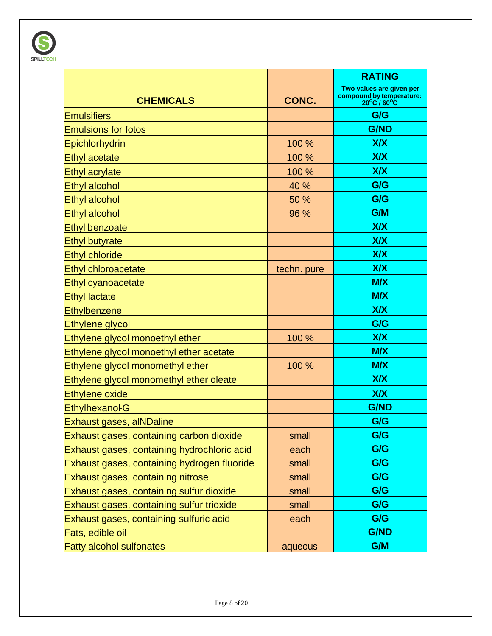

|                                             |             | <b>RATING</b>                                                       |
|---------------------------------------------|-------------|---------------------------------------------------------------------|
| <b>CHEMICALS</b>                            | CONC.       | Two values are given per<br>compound by temperature:<br>20°C / 60°C |
| <b>Emulsifiers</b>                          |             | G/G                                                                 |
| <b>Emulsions for fotos</b>                  |             | <b>G/ND</b>                                                         |
| Epichlorhydrin                              | 100 %       | X/X                                                                 |
| <b>Ethyl acetate</b>                        | 100 %       | X/X                                                                 |
| <b>Ethyl acrylate</b>                       | 100 %       | <b>X/X</b>                                                          |
| <b>Ethyl alcohol</b>                        | 40 %        | G/G                                                                 |
| <b>Ethyl alcohol</b>                        | 50 %        | G/G                                                                 |
| <b>Ethyl alcohol</b>                        | 96 %        | G/M                                                                 |
| <b>Ethyl benzoate</b>                       |             | <b>X/X</b>                                                          |
| <b>Ethyl butyrate</b>                       |             | <b>X/X</b>                                                          |
| <b>Ethyl chloride</b>                       |             | <b>X/X</b>                                                          |
| <b>Ethyl chloroacetate</b>                  | techn. pure | X/X                                                                 |
| Ethyl cyanoacetate                          |             | <b>M/X</b>                                                          |
| <b>Ethyl lactate</b>                        |             | <b>M/X</b>                                                          |
| <b>Ethylbenzene</b>                         |             | <b>X/X</b>                                                          |
| <b>Ethylene glycol</b>                      |             | G/G                                                                 |
| Ethylene glycol monoethyl ether             | 100 %       | <b>X/X</b>                                                          |
| Ethylene glycol monoethyl ether acetate     |             | <b>M/X</b>                                                          |
| Ethylene glycol monomethyl ether            | 100 %       | <b>M/X</b>                                                          |
| Ethylene glycol monomethyl ether oleate     |             | X/X                                                                 |
| <b>Ethylene oxide</b>                       |             | X/X                                                                 |
| <b>Ethylhexanol-G</b>                       |             | <b>G/ND</b>                                                         |
| <b>Exhaust gases, alNDaline</b>             |             | G/G                                                                 |
| Exhaust gases, containing carbon dioxide    | small       | G/G                                                                 |
| Exhaust gases, containing hydrochloric acid | each        | G/G                                                                 |
| Exhaust gases, containing hydrogen fluoride | small       | G/G                                                                 |
| Exhaust gases, containing nitrose           | small       | G/G                                                                 |
| Exhaust gases, containing sulfur dioxide    | small       | G/G                                                                 |
| Exhaust gases, containing sulfur trioxide   | small       | G/G                                                                 |
| Exhaust gases, containing sulfuric acid     | each        | G/G                                                                 |
| Fats, edible oil                            |             | <b>G/ND</b>                                                         |
| <b>Fatty alcohol sulfonates</b>             | aqueous     | G/M                                                                 |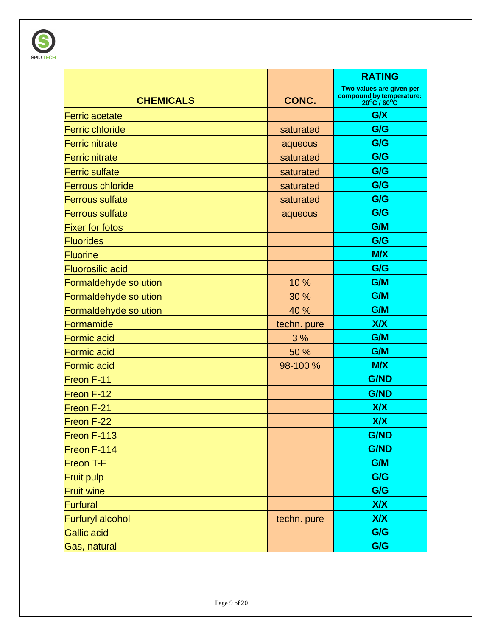

|                         |             | <b>RATING</b>                                                                            |
|-------------------------|-------------|------------------------------------------------------------------------------------------|
| <b>CHEMICALS</b>        | CONC.       | Two values are given per<br>compound by temperature:<br>$20^{\circ}$ C / 60 $^{\circ}$ C |
| <b>Ferric acetate</b>   |             | G/X                                                                                      |
| <b>Ferric chloride</b>  | saturated   | G/G                                                                                      |
| <b>Ferric nitrate</b>   | aqueous     | G/G                                                                                      |
| <b>Ferric nitrate</b>   | saturated   | G/G                                                                                      |
| <b>Ferric sulfate</b>   | saturated   | G/G                                                                                      |
| <b>Ferrous chloride</b> | saturated   | G/G                                                                                      |
| <b>Ferrous sulfate</b>  | saturated   | G/G                                                                                      |
| <b>Ferrous sulfate</b>  | aqueous     | G/G                                                                                      |
| <b>Fixer for fotos</b>  |             | G/M                                                                                      |
| <b>Fluorides</b>        |             | G/G                                                                                      |
| <b>Fluorine</b>         |             | <b>M/X</b>                                                                               |
| <b>Fluorosilic acid</b> |             | G/G                                                                                      |
| Formaldehyde solution   | 10 %        | G/M                                                                                      |
| Formaldehyde solution   | 30 %        | G/M                                                                                      |
| Formaldehyde solution   | 40 %        | G/M                                                                                      |
| Formamide               | techn. pure | <b>X/X</b>                                                                               |
| <b>Formic acid</b>      | 3%          | G/M                                                                                      |
| <b>Formic acid</b>      | 50 %        | G/M                                                                                      |
| <b>Formic acid</b>      | 98-100 %    | <b>M/X</b>                                                                               |
| Freon F-11              |             | <b>G/ND</b>                                                                              |
| Freon F-12              |             | <b>G/ND</b>                                                                              |
| Freon F-21              |             | <b>X/X</b>                                                                               |
| Freon F-22              |             | <b>X/X</b>                                                                               |
| Freon F-113             |             | <b>G/ND</b>                                                                              |
| Freon F-114             |             | <b>G/ND</b>                                                                              |
| Freon T-F               |             | G/M                                                                                      |
| <b>Fruit pulp</b>       |             | G/G                                                                                      |
| <b>Fruit wine</b>       |             | G/G                                                                                      |
| Furfural                |             | <b>X/X</b>                                                                               |
| <b>Furfuryl alcohol</b> | techn. pure | <b>X/X</b>                                                                               |
| <b>Gallic acid</b>      |             | G/G                                                                                      |
| Gas, natural            |             | G/G                                                                                      |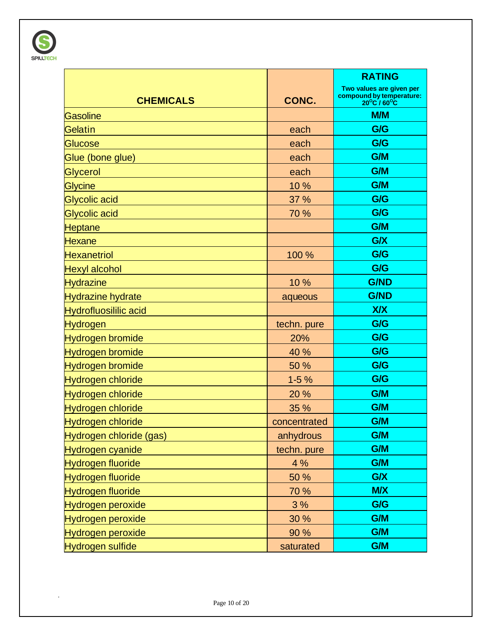

|                              |              | <b>RATING</b>                                                       |
|------------------------------|--------------|---------------------------------------------------------------------|
| <b>CHEMICALS</b>             | CONC.        | Two values are given per<br>compound by temperature:<br>20°C / 60°C |
| <b>Gasoline</b>              |              | M/M                                                                 |
| Gelatin                      | each         | G/G                                                                 |
| Glucose                      | each         | G/G                                                                 |
| Glue (bone glue)             | each         | G/M                                                                 |
| <b>Glycerol</b>              | each         | G/M                                                                 |
| <b>Glycine</b>               | 10 %         | <b>G/M</b>                                                          |
| Glycolic acid                | 37 %         | G/G                                                                 |
| Glycolic acid                | 70 %         | G/G                                                                 |
| Heptane                      |              | <b>G/M</b>                                                          |
| <b>Hexane</b>                |              | G/X                                                                 |
| <b>Hexanetriol</b>           | 100 %        | G/G                                                                 |
| <b>Hexyl alcohol</b>         |              | G/G                                                                 |
| <b>Hydrazine</b>             | 10 %         | <b>G/ND</b>                                                         |
| <b>Hydrazine hydrate</b>     | aqueous      | <b>G/ND</b>                                                         |
| <b>Hydrofluosililic acid</b> |              | <b>X/X</b>                                                          |
| <b>Hydrogen</b>              | techn. pure  | G/G                                                                 |
| Hydrogen bromide             | 20%          | G/G                                                                 |
| Hydrogen bromide             | 40 %         | G/G                                                                 |
| Hydrogen bromide             | 50 %         | G/G                                                                 |
| Hydrogen chloride            | $1 - 5%$     | G/G                                                                 |
| Hydrogen chloride            | 20 %         | G/M                                                                 |
| <b>Hydrogen chloride</b>     | 35 %         | G/M                                                                 |
| <b>Hydrogen chloride</b>     | concentrated | G/M                                                                 |
| Hydrogen chloride (gas)      | anhydrous    | G/M                                                                 |
| Hydrogen cyanide             | techn. pure  | G/M                                                                 |
| Hydrogen fluoride            | 4 %          | G/M                                                                 |
| Hydrogen fluoride            | 50 %         | G/X                                                                 |
| Hydrogen fluoride            | 70 %         | <b>M/X</b>                                                          |
| Hydrogen peroxide            | 3%           | G/G                                                                 |
| Hydrogen peroxide            | 30 %         | G/M                                                                 |
| <b>Hydrogen peroxide</b>     | 90 %         | G/M                                                                 |
| Hydrogen sulfide             | saturated    | G/M                                                                 |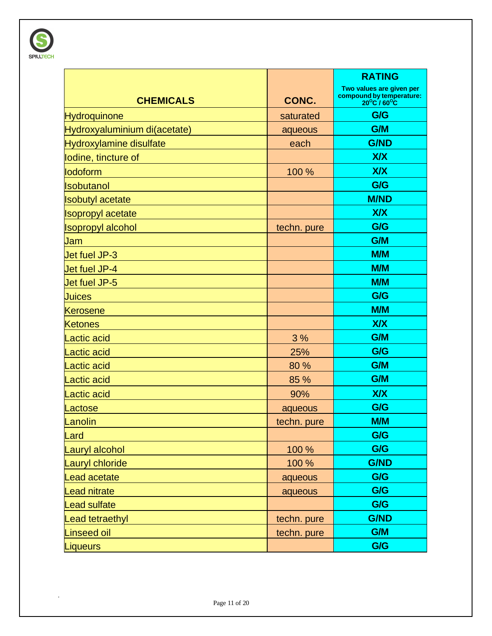

|                              |             | <b>RATING</b>                                                       |
|------------------------------|-------------|---------------------------------------------------------------------|
|                              |             | Two values are given per<br>compound by temperature:<br>20°C / 60°C |
| <b>CHEMICALS</b>             | CONC.       |                                                                     |
| <b>Hydroquinone</b>          | saturated   | G/G                                                                 |
| Hydroxyaluminium di(acetate) | aqueous     | G/M                                                                 |
| Hydroxylamine disulfate      | each        | <b>G/ND</b>                                                         |
| lodine, tincture of          |             | <b>X/X</b>                                                          |
| lodoform                     | 100 %       | <b>X/X</b>                                                          |
| Isobutanol                   |             | G/G                                                                 |
| <b>Isobutyl acetate</b>      |             | <b>M/ND</b>                                                         |
| <b>Isopropyl acetate</b>     |             | <b>X/X</b>                                                          |
| <b>Isopropyl alcohol</b>     | techn. pure | G/G                                                                 |
| Jam                          |             | G/M                                                                 |
| Jet fuel JP-3                |             | <b>M/M</b>                                                          |
| Jet fuel JP-4                |             | <b>M/M</b>                                                          |
| Jet fuel JP-5                |             | M/M                                                                 |
| <b>Juices</b>                |             | G/G                                                                 |
| <b>Kerosene</b>              |             | M/M                                                                 |
| <b>Ketones</b>               |             | <b>X/X</b>                                                          |
| Lactic acid                  | 3%          | G/M                                                                 |
| Lactic acid                  | 25%         | G/G                                                                 |
| actic acid                   | 80%         | G/M                                                                 |
| Lactic acid                  | 85 %        | G/M                                                                 |
| actic acid                   | 90%         | <b>X/X</b>                                                          |
| _actose                      | aqueous     | G/G                                                                 |
| Lanolin                      | techn. pure | <b>M/M</b>                                                          |
| Lard                         |             | G/G                                                                 |
| auryl alcohol                | 100 %       | G/G                                                                 |
| Lauryl chloride              | 100 %       | <b>G/ND</b>                                                         |
| Lead acetate                 | aqueous     | G/G                                                                 |
| ead nitrate                  | aqueous     | G/G                                                                 |
| ead sulfate                  |             | G/G                                                                 |
| ead tetraethyl               | techn. pure | <b>G/ND</b>                                                         |
| Linseed oil                  | techn. pure | G/M                                                                 |
| <b>Liqueurs</b>              |             | G/G                                                                 |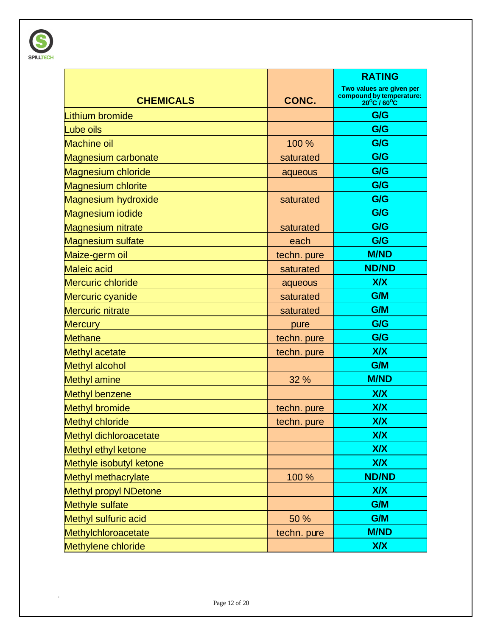

|                               |             | <b>RATING</b>                                                                           |
|-------------------------------|-------------|-----------------------------------------------------------------------------------------|
| <b>CHEMICALS</b>              | CONC.       | Two values are given per<br>compound by temperature:<br>$20^{\circ}$ C / $60^{\circ}$ C |
| Lithium bromide               |             | G/G                                                                                     |
| Lube oils                     |             | G/G                                                                                     |
| <b>Machine oil</b>            | 100 %       | G/G                                                                                     |
| <b>Magnesium carbonate</b>    | saturated   | G/G                                                                                     |
| <b>Magnesium chloride</b>     | aqueous     | G/G                                                                                     |
| <b>Magnesium chlorite</b>     |             | G/G                                                                                     |
| <b>Magnesium hydroxide</b>    | saturated   | G/G                                                                                     |
| Magnesium iodide              |             | G/G                                                                                     |
| <b>Magnesium nitrate</b>      | saturated   | G/G                                                                                     |
| <b>Magnesium sulfate</b>      | each        | G/G                                                                                     |
| Maize-germ oil                | techn. pure | <b>M/ND</b>                                                                             |
| <b>Maleic acid</b>            | saturated   | <b>ND/ND</b>                                                                            |
| <b>Mercuric chloride</b>      | aqueous     | <b>X/X</b>                                                                              |
| Mercuric cyanide              | saturated   | G/M                                                                                     |
| <b>Mercuric nitrate</b>       | saturated   | G/M                                                                                     |
| <b>Mercury</b>                | pure        | G/G                                                                                     |
| <b>Methane</b>                | techn. pure | G/G                                                                                     |
| <b>Methyl acetate</b>         | techn. pure | <b>X/X</b>                                                                              |
| Methyl alcohol                |             | G/M                                                                                     |
| <b>Methyl amine</b>           | 32 %        | <b>M/ND</b>                                                                             |
| Methyl benzene                |             | <b>X/X</b>                                                                              |
| <b>Methyl bromide</b>         | techn. pure | <b>X/X</b>                                                                              |
| <b>Methyl chloride</b>        | techn. pure | <b>X/X</b>                                                                              |
| <b>Methyl dichloroacetate</b> |             | <b>X/X</b>                                                                              |
| Methyl ethyl ketone           |             | <b>X/X</b>                                                                              |
| Methyle isobutyl ketone       |             | <b>X/X</b>                                                                              |
| Methyl methacrylate           | 100 %       | <b>ND/ND</b>                                                                            |
| <b>Methyl propyl NDetone</b>  |             | <b>X/X</b>                                                                              |
| Methyle sulfate               |             | G/M                                                                                     |
| Methyl sulfuric acid          | 50 %        | G/M                                                                                     |
| Methylchloroacetate           | techn. pure | <b>M/ND</b>                                                                             |
| Methylene chloride            |             | <b>X/X</b>                                                                              |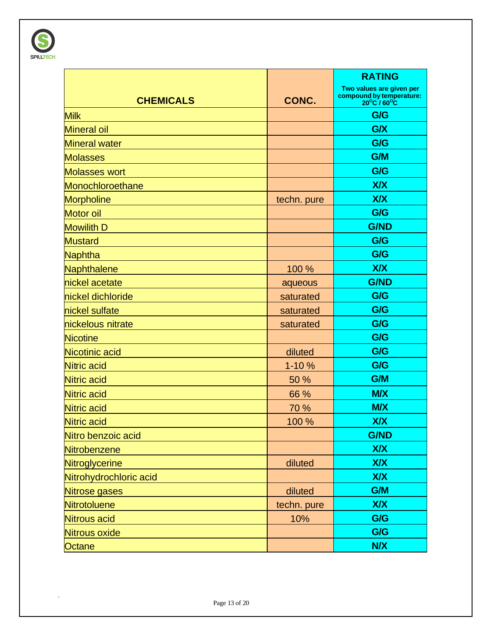

|                        |             | <b>RATING</b>                                                                           |
|------------------------|-------------|-----------------------------------------------------------------------------------------|
| <b>CHEMICALS</b>       | CONC.       | Two values are given per<br>compound by temperature:<br>$20^{\circ}$ C / $60^{\circ}$ C |
| <b>Milk</b>            |             | G/G                                                                                     |
| <b>Mineral oil</b>     |             | G/X                                                                                     |
| <b>Mineral water</b>   |             | G/G                                                                                     |
| <b>Molasses</b>        |             | G/M                                                                                     |
| <b>Molasses wort</b>   |             | G/G                                                                                     |
| Monochloroethane       |             | <b>X/X</b>                                                                              |
| <b>Morpholine</b>      | techn. pure | <b>X/X</b>                                                                              |
| <b>Motor oil</b>       |             | G/G                                                                                     |
| <b>Mowilith D</b>      |             | <b>G/ND</b>                                                                             |
| <b>Mustard</b>         |             | G/G                                                                                     |
| <b>Naphtha</b>         |             | G/G                                                                                     |
| Naphthalene            | 100 %       | <b>X/X</b>                                                                              |
| nickel acetate         | aqueous     | <b>G/ND</b>                                                                             |
| nickel dichloride      | saturated   | G/G                                                                                     |
| nickel sulfate         | saturated   | G/G                                                                                     |
| nickelous nitrate      | saturated   | G/G                                                                                     |
| <b>Nicotine</b>        |             | G/G                                                                                     |
| Nicotinic acid         | diluted     | G/G                                                                                     |
| <b>Nitric acid</b>     | 1-10 %      | G/G                                                                                     |
| <b>Nitric acid</b>     | 50 %        | G/M                                                                                     |
| <b>Nitric acid</b>     | 66 %        | <b>M/X</b>                                                                              |
| <b>Nitric acid</b>     | 70 %        | <b>M/X</b>                                                                              |
| <b>Nitric acid</b>     | 100 %       | <b>X/X</b>                                                                              |
| Nitro benzoic acid     |             | <b>G/ND</b>                                                                             |
| Nitrobenzene           |             | <b>X/X</b>                                                                              |
| <b>Nitroglycerine</b>  | diluted     | <b>X/X</b>                                                                              |
| Nitrohydrochloric acid |             | <b>X/X</b>                                                                              |
| Nitrose gases          | diluted     | G/M                                                                                     |
| Nitrotoluene           | techn. pure | <b>X/X</b>                                                                              |
| Nitrous acid           | 10%         | G/G                                                                                     |
| <b>Nitrous oxide</b>   |             | G/G                                                                                     |
| Octane                 |             | <b>N/X</b>                                                                              |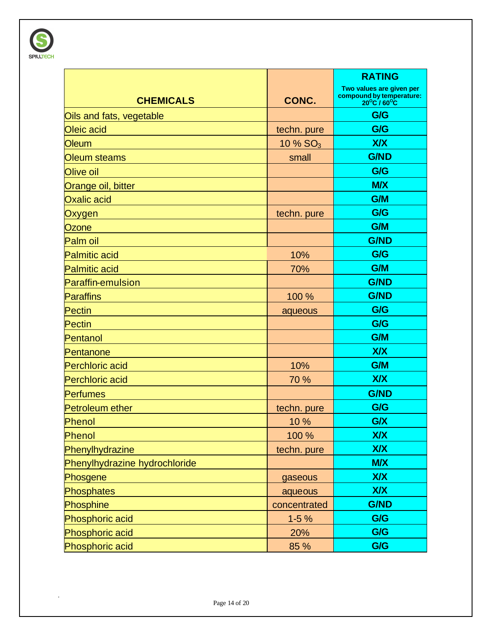

|                               |              | <b>RATING</b>                                                       |
|-------------------------------|--------------|---------------------------------------------------------------------|
| <b>CHEMICALS</b>              | CONC.        | Two values are given per<br>compound by temperature:<br>20°C / 60°C |
| Oils and fats, vegetable      |              | G/G                                                                 |
| Oleic acid                    | techn. pure  | G/G                                                                 |
| <b>Oleum</b>                  | 10 % $SO_3$  | <b>X/X</b>                                                          |
| Oleum steams                  | small        | <b>G/ND</b>                                                         |
| Olive oil                     |              | G/G                                                                 |
| Orange oil, bitter            |              | <b>M/X</b>                                                          |
| <b>Oxalic acid</b>            |              | G/M                                                                 |
| Oxygen                        | techn. pure  | G/G                                                                 |
| Ozone                         |              | <b>G/M</b>                                                          |
| Palm oil                      |              | <b>G/ND</b>                                                         |
| <b>Palmitic acid</b>          | 10%          | G/G                                                                 |
| <b>Palmitic acid</b>          | 70%          | G/M                                                                 |
| <b>Paraffin-emulsion</b>      |              | <b>G/ND</b>                                                         |
| <b>Paraffins</b>              | 100 %        | <b>G/ND</b>                                                         |
| <b>Pectin</b>                 | aqueous      | G/G                                                                 |
| <b>Pectin</b>                 |              | G/G                                                                 |
| Pentanol                      |              | G/M                                                                 |
| Pentanone                     |              | <b>X/X</b>                                                          |
| <b>Perchloric acid</b>        | 10%          | G/M                                                                 |
| <b>Perchloric acid</b>        | 70 %         | <b>X/X</b>                                                          |
| <b>Perfumes</b>               |              | <b>G/ND</b>                                                         |
| <b>Petroleum ether</b>        | techn. pure  | G/G                                                                 |
| Phenol                        | 10 %         | G/X                                                                 |
| Phenol                        | 100 %        | <b>X/X</b>                                                          |
| Phenylhydrazine               | techn. pure  | <b>X/X</b>                                                          |
| Phenylhydrazine hydrochloride |              | <b>M/X</b>                                                          |
| Phosgene                      | gaseous      | <b>X/X</b>                                                          |
| <b>Phosphates</b>             | aqueous      | <b>X/X</b>                                                          |
| Phosphine                     | concentrated | <b>G/ND</b>                                                         |
| Phosphoric acid               | $1-5%$       | G/G                                                                 |
| Phosphoric acid               | 20%          | G/G                                                                 |
| Phosphoric acid               | 85 %         | G/G                                                                 |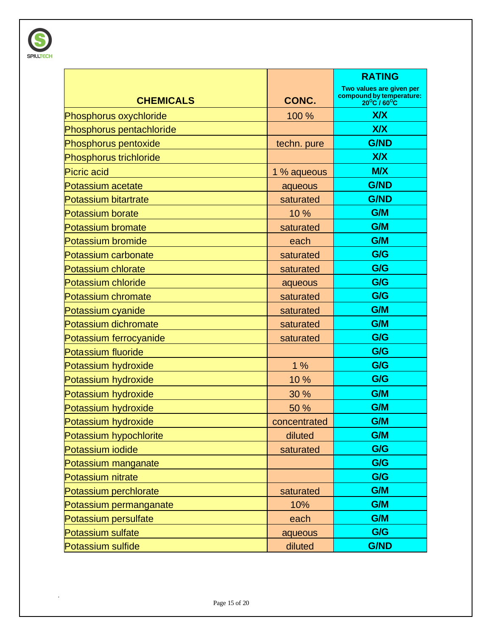

|                             |              | <b>RATING</b>                                                       |
|-----------------------------|--------------|---------------------------------------------------------------------|
| <b>CHEMICALS</b>            | CONC.        | Two values are given per<br>compound by temperature:<br>20°C / 60°C |
| Phosphorus oxychloride      | 100 %        | <b>X/X</b>                                                          |
| Phosphorus pentachloride    |              | <b>X/X</b>                                                          |
| Phosphorus pentoxide        | techn. pure  | <b>G/ND</b>                                                         |
| Phosphorus trichloride      |              | <b>X/X</b>                                                          |
| <b>Picric acid</b>          | 1 % aqueous  | <b>M/X</b>                                                          |
| Potassium acetate           | aqueous      | <b>G/ND</b>                                                         |
| <b>Potassium bitartrate</b> | saturated    | <b>G/ND</b>                                                         |
| <b>Potassium borate</b>     | 10 %         | G/M                                                                 |
| <b>Potassium bromate</b>    | saturated    | G/M                                                                 |
| <b>Potassium bromide</b>    | each         | G/M                                                                 |
| Potassium carbonate         | saturated    | G/G                                                                 |
| <b>Potassium chlorate</b>   | saturated    | G/G                                                                 |
| <b>Potassium chloride</b>   | aqueous      | G/G                                                                 |
| Potassium chromate          | saturated    | G/G                                                                 |
| Potassium cyanide           | saturated    | G/M                                                                 |
| Potassium dichromate        | saturated    | G/M                                                                 |
| Potassium ferrocyanide      | saturated    | G/G                                                                 |
| <b>Potassium fluoride</b>   |              | G/G                                                                 |
| Potassium hydroxide         | 1%           | G/G                                                                 |
| Potassium hydroxide         | 10 %         | G/G                                                                 |
| Potassium hydroxide         | 30 %         | G/M                                                                 |
| Potassium hydroxide         | 50 %         | G/M                                                                 |
| Potassium hydroxide         | concentrated | G/M                                                                 |
| Potassium hypochlorite      | diluted      | G/M                                                                 |
| Potassium iodide            | saturated    | G/G                                                                 |
| Potassium manganate         |              | G/G                                                                 |
| Potassium nitrate           |              | G/G                                                                 |
| Potassium perchlorate       | saturated    | G/M                                                                 |
| Potassium permanganate      | 10%          | G/M                                                                 |
| Potassium persulfate        | each         | G/M                                                                 |
| <b>Potassium sulfate</b>    | aqueous      | G/G                                                                 |
| Potassium sulfide           | diluted      | <b>G/ND</b>                                                         |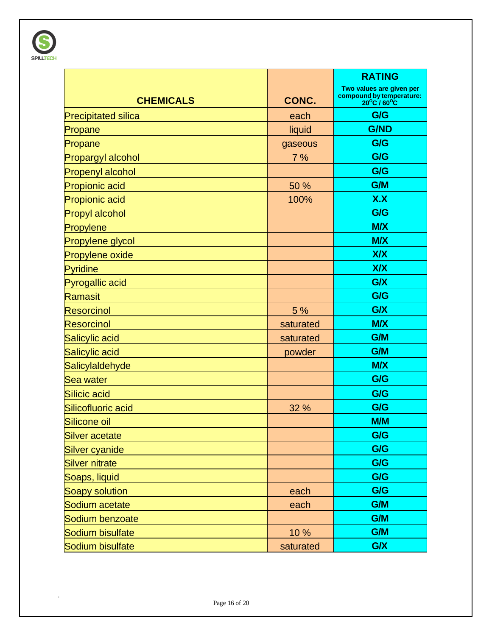

|                            |           | <b>RATING</b>                                                       |
|----------------------------|-----------|---------------------------------------------------------------------|
| <b>CHEMICALS</b>           | CONC.     | Two values are given per<br>compound by temperature:<br>20°C / 60°C |
| <b>Precipitated silica</b> | each      | G/G                                                                 |
| Propane                    | liquid    | <b>G/ND</b>                                                         |
| Propane                    | gaseous   | G/G                                                                 |
| <b>Propargyl alcohol</b>   | 7%        | G/G                                                                 |
| <b>Propenyl alcohol</b>    |           | G/G                                                                 |
| <b>Propionic acid</b>      | 50 %      | G/M                                                                 |
| <b>Propionic acid</b>      | 100%      | X.X                                                                 |
| <b>Propyl alcohol</b>      |           | G/G                                                                 |
| Propylene                  |           | <b>M/X</b>                                                          |
| Propylene glycol           |           | <b>M/X</b>                                                          |
| <b>Propylene oxide</b>     |           | <b>X/X</b>                                                          |
| Pyridine                   |           | <b>X/X</b>                                                          |
| <b>Pyrogallic acid</b>     |           | G/X                                                                 |
| Ramasit                    |           | G/G                                                                 |
| <b>Resorcinol</b>          | 5 %       | G/X                                                                 |
| <b>Resorcinol</b>          | saturated | <b>M/X</b>                                                          |
| Salicylic acid             | saturated | G/M                                                                 |
| Salicylic acid             | powder    | G/M                                                                 |
| Salicylaldehyde            |           | <b>M/X</b>                                                          |
| Sea water                  |           | G/G                                                                 |
| Silicic acid               |           | G/G                                                                 |
| Silicofluoric acid         | 32 %      | G/G                                                                 |
| Silicone oil               |           | <b>M/M</b>                                                          |
| <b>Silver acetate</b>      |           | G/G                                                                 |
| <b>Silver cyanide</b>      |           | G/G                                                                 |
| <b>Silver nitrate</b>      |           | G/G                                                                 |
| Soaps, liquid              |           | G/G                                                                 |
| Soapy solution             | each      | G/G                                                                 |
| Sodium acetate             | each      | G/M                                                                 |
| Sodium benzoate            |           | G/M                                                                 |
| Sodium bisulfate           | 10%       | G/M                                                                 |
| Sodium bisulfate           | saturated | G/X                                                                 |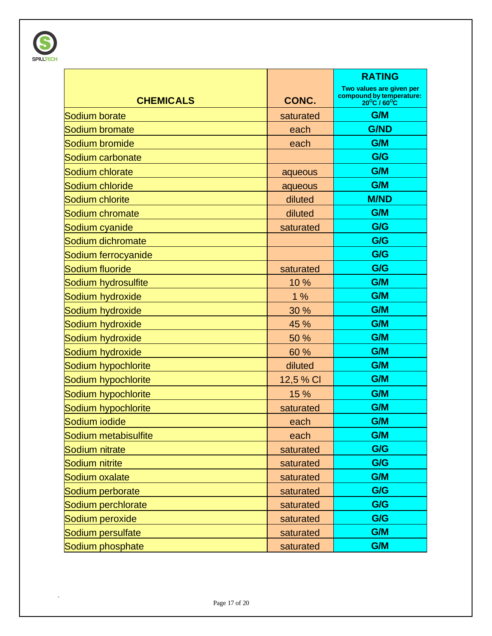

|                      |           | <b>RATING</b>                                                                           |
|----------------------|-----------|-----------------------------------------------------------------------------------------|
| <b>CHEMICALS</b>     | CONC.     | Two values are given per<br>compound by temperature:<br>$20^{\circ}$ C / $60^{\circ}$ C |
| Sodium borate        | saturated | G/M                                                                                     |
| Sodium bromate       | each      | <b>G/ND</b>                                                                             |
| Sodium bromide       | each      | G/M                                                                                     |
| Sodium carbonate     |           | G/G                                                                                     |
| Sodium chlorate      | aqueous   | G/M                                                                                     |
| Sodium chloride      | aqueous   | G/M                                                                                     |
| Sodium chlorite      | diluted   | <b>M/ND</b>                                                                             |
| Sodium chromate      | diluted   | G/M                                                                                     |
| Sodium cyanide       | saturated | G/G                                                                                     |
| Sodium dichromate    |           | G/G                                                                                     |
| Sodium ferrocyanide  |           | G/G                                                                                     |
| Sodium fluoride      | saturated | G/G                                                                                     |
| Sodium hydrosulfite  | 10 %      | G/M                                                                                     |
| Sodium hydroxide     | 1%        | G/M                                                                                     |
| Sodium hydroxide     | 30 %      | G/M                                                                                     |
| Sodium hydroxide     | 45 %      | G/M                                                                                     |
| Sodium hydroxide     | 50 %      | G/M                                                                                     |
| Sodium hydroxide     | 60 %      | G/M                                                                                     |
| Sodium hypochlorite  | diluted   | G/M                                                                                     |
| Sodium hypochlorite  | 12,5 % CI | G/M                                                                                     |
| Sodium hypochlorite  | 15 %      | G/M                                                                                     |
| Sodium hypochlorite  | saturated | G/M                                                                                     |
| Sodium iodide        | each      | G/M                                                                                     |
| Sodium metabisulfite | each      | G/M                                                                                     |
| Sodium nitrate       | saturated | G/G                                                                                     |
| Sodium nitrite       | saturated | G/G                                                                                     |
| Sodium oxalate       | saturated | G/M                                                                                     |
| Sodium perborate     | saturated | G/G                                                                                     |
| Sodium perchlorate   | saturated | G/G                                                                                     |
| Sodium peroxide      | saturated | G/G                                                                                     |
| Sodium persulfate    | saturated | G/M                                                                                     |
| Sodium phosphate     | saturated | G/M                                                                                     |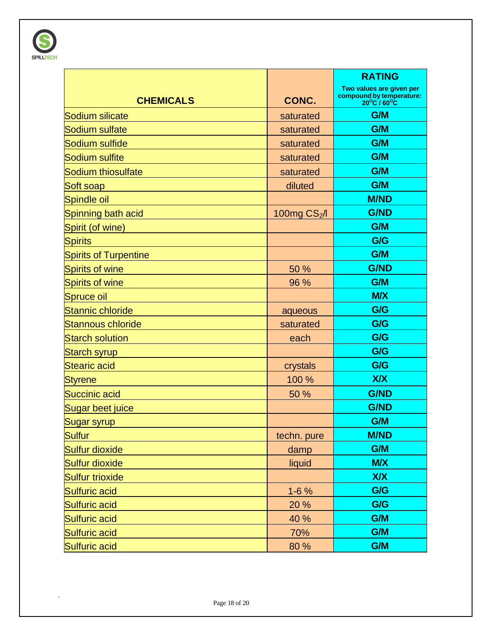

|                              |               | <b>RATING</b>                                                                            |
|------------------------------|---------------|------------------------------------------------------------------------------------------|
| <b>CHEMICALS</b>             | CONC.         | Two values are given per<br>compound by temperature:<br>$20^{\circ}$ C / 60 $^{\circ}$ C |
| Sodium silicate              | saturated     | G/M                                                                                      |
| Sodium sulfate               | saturated     | G/M                                                                                      |
| Sodium sulfide               | saturated     | G/M                                                                                      |
| Sodium sulfite               | saturated     | G/M                                                                                      |
| <b>Sodium thiosulfate</b>    | saturated     | G/M                                                                                      |
| Soft soap                    | diluted       | G/M                                                                                      |
| Spindle oil                  |               | <b>M/ND</b>                                                                              |
| Spinning bath acid           | 100mg $CS2/I$ | <b>G/ND</b>                                                                              |
| Spirit (of wine)             |               | G/M                                                                                      |
| <b>Spirits</b>               |               | G/G                                                                                      |
| <b>Spirits of Turpentine</b> |               | G/M                                                                                      |
| <b>Spirits of wine</b>       | 50 %          | <b>G/ND</b>                                                                              |
| <b>Spirits of wine</b>       | 96 %          | G/M                                                                                      |
| <b>Spruce oil</b>            |               | <b>M/X</b>                                                                               |
| <b>Stannic chloride</b>      | aqueous       | G/G                                                                                      |
| <b>Stannous chloride</b>     | saturated     | G/G                                                                                      |
| <b>Starch solution</b>       | each          | G/G                                                                                      |
| <b>Starch syrup</b>          |               | G/G                                                                                      |
| <b>Stearic acid</b>          | crystals      | G/G                                                                                      |
| <b>Styrene</b>               | 100 %         | X/X                                                                                      |
| <b>Succinic acid</b>         | 50 %          | <b>G/ND</b>                                                                              |
| Sugar beet juice             |               | <b>G/ND</b>                                                                              |
| Sugar syrup                  |               | G/M                                                                                      |
| <b>Sulfur</b>                | techn. pure   | <b>M/ND</b>                                                                              |
| Sulfur dioxide               | damp          | G/M                                                                                      |
| <b>Sulfur dioxide</b>        | liquid        | <b>M/X</b>                                                                               |
| <b>Sulfur trioxide</b>       |               | <b>X/X</b>                                                                               |
| <b>Sulfuric acid</b>         | $1 - 6%$      | G/G                                                                                      |
| <b>Sulfuric acid</b>         | 20 %          | G/G                                                                                      |
| <b>Sulfuric acid</b>         | 40 %          | G/M                                                                                      |
| <b>Sulfuric acid</b>         | 70%           | G/M                                                                                      |
| <b>Sulfuric acid</b>         | 80 %          | G/M                                                                                      |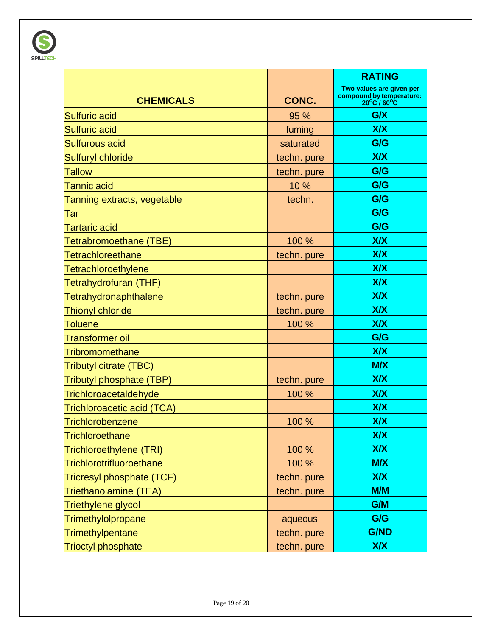

|                                 |             | <b>RATING</b>                                                                            |
|---------------------------------|-------------|------------------------------------------------------------------------------------------|
| <b>CHEMICALS</b>                | CONC.       | Two values are given per<br>compound by temperature:<br>$20^{\circ}$ C / 60 $^{\circ}$ C |
| <b>Sulfuric acid</b>            | 95 %        | G/X                                                                                      |
| <b>Sulfuric acid</b>            | fuming      | <b>X/X</b>                                                                               |
| <b>Sulfurous acid</b>           | saturated   | G/G                                                                                      |
| <b>Sulfuryl chloride</b>        | techn. pure | <b>X/X</b>                                                                               |
| <b>Tallow</b>                   | techn. pure | G/G                                                                                      |
| <b>Tannic acid</b>              | 10 %        | G/G                                                                                      |
| Tanning extracts, vegetable     | techn.      | G/G                                                                                      |
| Tar                             |             | G/G                                                                                      |
| <b>Tartaric acid</b>            |             | G/G                                                                                      |
| Tetrabromoethane (TBE)          | 100 %       | <b>X/X</b>                                                                               |
| <b>Tetrachloreethane</b>        | techn. pure | <b>X/X</b>                                                                               |
| <b>Tetrachloroethylene</b>      |             | <b>X/X</b>                                                                               |
| Tetrahydrofuran (THF)           |             | <b>X/X</b>                                                                               |
| <b>Tetrahydronaphthalene</b>    | techn. pure | <b>X/X</b>                                                                               |
| <b>Thionyl chloride</b>         | techn. pure | <b>X/X</b>                                                                               |
| <b>Toluene</b>                  | 100 %       | <b>X/X</b>                                                                               |
| <b>Transformer oil</b>          |             | G/G                                                                                      |
| <b>Tribromomethane</b>          |             | <b>X/X</b>                                                                               |
| Tributyl citrate (TBC)          |             | <b>M/X</b>                                                                               |
| Tributyl phosphate (TBP)        | techn. pure | <b>X/X</b>                                                                               |
| Trichloroacetaldehyde           | 100 %       | <b>X/X</b>                                                                               |
| Trichloroacetic acid (TCA)      |             | <b>X/X</b>                                                                               |
| <b>Trichlorobenzene</b>         | 100 %       | <b>X/X</b>                                                                               |
| <b>Trichloroethane</b>          |             | <b>X/X</b>                                                                               |
| Trichloroethylene (TRI)         | 100 %       | <b>X/X</b>                                                                               |
| <b>Trichlorotrifluoroethane</b> | 100 %       | <b>M/X</b>                                                                               |
| Tricresyl phosphate (TCF)       | techn. pure | <b>X/X</b>                                                                               |
| Triethanolamine (TEA)           | techn. pure | M/M                                                                                      |
| Triethylene glycol              |             | G/M                                                                                      |
| Trimethylolpropane              | aqueous     | G/G                                                                                      |
| Trimethylpentane                | techn. pure | <b>G/ND</b>                                                                              |
| <b>Trioctyl phosphate</b>       | techn. pure | <b>X/X</b>                                                                               |